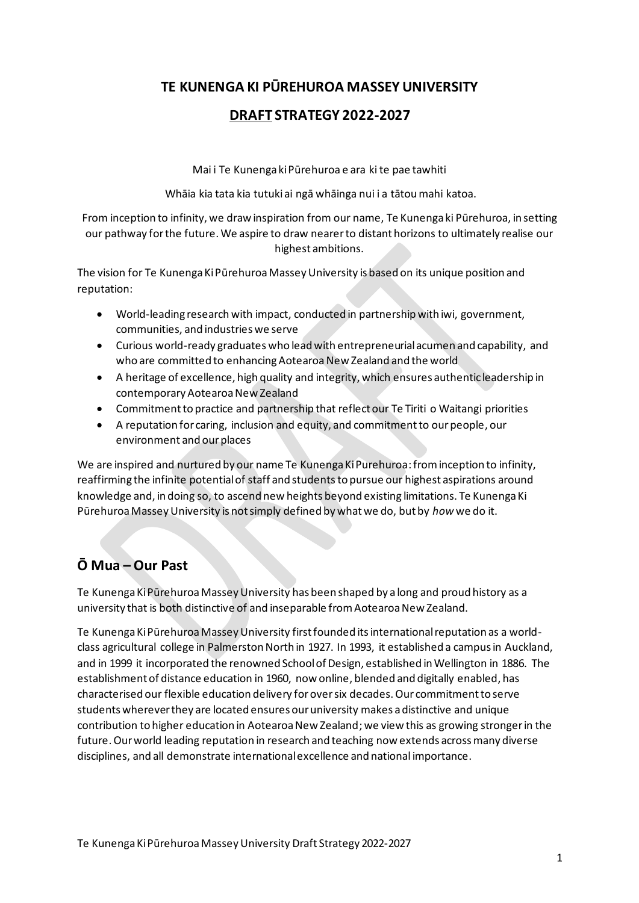## **TE KUNENGA KI PŪREHUROA MASSEY UNIVERSITY**

## **DRAFT STRATEGY 2022-2027**

Mai i Te Kunenga ki Pūrehuroa e ara ki te pae tawhiti

Whāia kia tata kia tutukiai ngā whāinga nui i a tātou mahi katoa.

From inception to infinity, we draw inspiration from our name, Te Kunenga ki Pūrehuroa, in setting our pathway forthe future. We aspire to draw nearerto distant horizons to ultimately realise our highest ambitions.

The vision for Te Kunenga Ki Pūrehuroa Massey University is based on its unique position and reputation:

- World-leading research with impact, conducted in partnership with iwi, government, communities, and industries we serve
- Curious world-ready graduates who lead with entrepreneurial acumen and capability, and who are committed to enhancing Aotearoa New Zealand and the world
- A heritage of excellence, high quality and integrity, which ensures authentic leadership in contemporary Aotearoa New Zealand
- Commitmentto practice and partnership that reflect our Te Tiriti o Waitangi priorities
- A reputation for caring, inclusion and equity, and commitment to our people, our environment and our places

We are inspired and nurtured by our name Te Kunenga Ki Purehuroa: from inception to infinity, reaffirming the infinite potential of staff and studentsto pursue our highest aspirations around knowledge and, in doing so, to ascend new heights beyond existing limitations. Te Kunenga Ki Pūrehuroa Massey University is not simply defined by what we do, but by *how* we do it.

# **Ō Mua – Our Past**

Te Kunenga Ki Pūrehuroa Massey University has been shaped by a long and proud history as a university that is both distinctive of and inseparable from Aotearoa New Zealand.

Te Kunenga Ki Pūrehuroa Massey University first founded its international reputation as a worldclass agricultural college in Palmerston North in 1927. In 1993, it established a campus in Auckland, and in 1999 it incorporated the renowned School of Design, established in Wellington in 1886. The establishment of distance education in 1960, now online, blended and digitally enabled, has characterised our flexible education delivery forover six decades. Our commitment to serve students wherever they are located ensures our university makes a distinctive and unique contribution to higher education in Aotearoa New Zealand; we view this as growing stronger in the future. Our world leading reputation in research and teaching now extends across many diverse disciplines, and all demonstrate international excellence and national importance.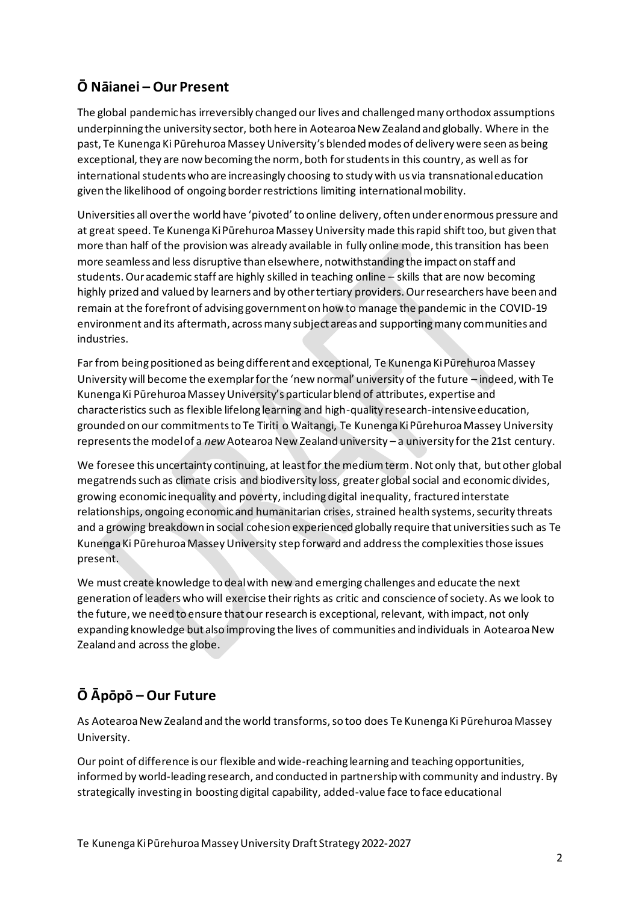# **Ō Nāianei – Our Present**

The global pandemic has irreversibly changed our lives and challenged many orthodox assumptions underpinning the university sector, both here in Aotearoa New Zealand and globally. Where in the past, Te Kunenga Ki Pūrehuroa Massey University's blended modes of delivery were seen as being exceptional, they are now becoming the norm, both for students in this country, as well as for international students who are increasingly choosing to study with us via transnational education given the likelihood of ongoing border restrictions limiting international mobility.

Universities all over the world have 'pivoted' to online delivery, often under enormous pressure and at great speed. Te Kunenga Ki Pūrehuroa Massey University made this rapid shift too, but given that more than half of the provision was already available in fully online mode, this transition has been more seamless and less disruptive than elsewhere, notwithstanding the impact on staff and students. Our academic staff are highly skilled in teaching online – skills that are now becoming highly prized and valued by learners and by other tertiary providers. Our researchers have been and remain at the forefront of advising government on how to manage the pandemic in the COVID-19 environment and its aftermath, across many subject areas and supporting many communities and industries.

Far from being positioned as being different and exceptional, Te Kunenga Ki Pūrehuroa Massey University will become the exemplar for the 'new normal' university of the future – indeed, with Te Kunenga Ki Pūrehuroa Massey University's particular blend of attributes, expertise and characteristics such as flexible lifelong learning and high-quality research-intensive education, grounded on our commitments to Te Tiriti o Waitangi, Te Kunenga Ki Pūrehuroa Massey University represents the model of a *new* Aotearoa New Zealand university – a university for the 21st century.

We foresee this uncertainty continuing, at least for the medium term. Not only that, but other global megatrends such as climate crisis and biodiversity loss, greater global social and economic divides, growing economic inequality and poverty, including digital inequality, fractured interstate relationships, ongoing economic and humanitarian crises, strained health systems, security threats and a growing breakdown in social cohesion experienced globally require that universities such as Te Kunenga Ki Pūrehuroa Massey University step forward and address the complexities those issues present.

We must create knowledge to deal with new and emerging challenges and educate the next generation of leaders who will exercise their rights as critic and conscience of society. As we look to the future, we need to ensure that our research is exceptional, relevant, with impact, not only expanding knowledge but also improving the lives of communities and individuals in Aotearoa New Zealand and across the globe.

# **Ō Āpōpō – Our Future**

As Aotearoa New Zealand and the world transforms, so too does Te Kunenga Ki Pūrehuroa Massey University.

Our point of difference is our flexible and wide-reaching learning and teaching opportunities, informed by world-leading research, and conducted in partnership with community and industry. By strategically investing in boosting digital capability, added-value face to face educational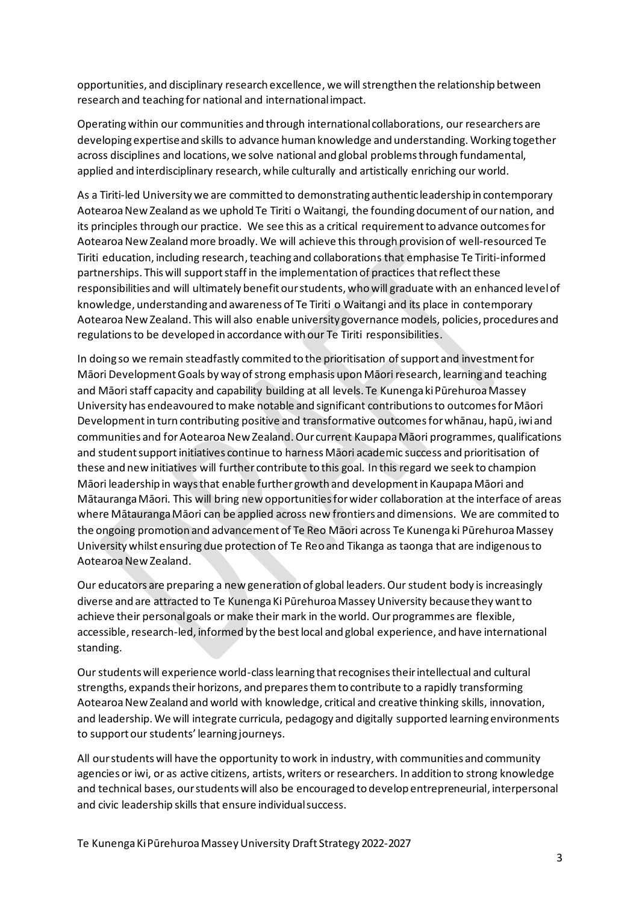opportunities, and disciplinary research excellence, we will strengthen the relationship between research and teaching for national and international impact.

Operating within our communities and through international collaborations, our researchers are developing expertise and skills to advance human knowledge and understanding. Working together across disciplines and locations, we solve national and global problems through fundamental, applied and interdisciplinary research, while culturally and artistically enriching our world.

As a Tiriti-led University we are committed to demonstrating authentic leadership in contemporary Aotearoa New Zealand as we uphold Te Tiriti o Waitangi, the founding document of our nation, and its principles through our practice. We see this as a critical requirement to advance outcomes for Aotearoa New Zealand more broadly. We will achieve this through provision of well-resourced Te Tiriti education, including research, teaching and collaborations that emphasise Te Tiriti-informed partnerships. This will support staff in the implementation of practices that reflect these responsibilities and will ultimately benefit our students, who will graduate with an enhanced level of knowledge, understanding and awareness of Te Tiriti o Waitangi and its place in contemporary Aotearoa New Zealand. This will also enable university governance models, policies, procedures and regulations to be developed in accordance with our Te Tiriti responsibilities.

In doing so we remain steadfastly commited to the prioritisation of support and investment for Māori Development Goals by way of strong emphasis upon Māori research, learning and teaching and Māori staff capacity and capability building at all levels. Te Kunenga ki Pūrehuroa Massey University has endeavoured to make notable and significant contributions to outcomes for Māori Development in turn contributing positive and transformative outcomes for whānau, hapū, iwi and communities and for Aotearoa New Zealand. Our current Kaupapa Māori programmes, qualifications and student supportinitiatives continue to harness Māori academic success and prioritisation of these and new initiatives will further contribute to this goal. In this regard we seek to champion Māori leadership in ways that enable further growth and development in Kaupapa Māori and Mātauranga Māori. This will bring new opportunities for wider collaboration at the interface of areas where Mātauranga Māori can be applied across new frontiers and dimensions. We are commited to the ongoing promotion and advancement of Te Reo Māori across Te Kunenga ki Pūrehuroa Massey University whilst ensuring due protection of Te Reo and Tikanga as taonga that are indigenous to Aotearoa New Zealand.

Our educators are preparing a new generation of global leaders. Our student body is increasingly diverse and are attracted to Te Kunenga Ki Pūrehuroa Massey University because they want to achieve their personal goals or make their mark in the world. Our programmes are flexible, accessible, research-led, informed by the best local and global experience, and have international standing.

Our students will experience world-class learning that recognises their intellectual and cultural strengths, expands their horizons, and prepares them to contribute to a rapidly transforming Aotearoa New Zealand and world with knowledge, critical and creative thinking skills, innovation, and leadership. We will integrate curricula, pedagogy and digitally supported learning environments to support our students' learning journeys.

All our students will have the opportunity to work in industry, with communities and community agencies or iwi, or as active citizens, artists, writers or researchers. In addition to strong knowledge and technical bases, our students will also be encouraged to develop entrepreneurial, interpersonal and civic leadership skills that ensure individual success.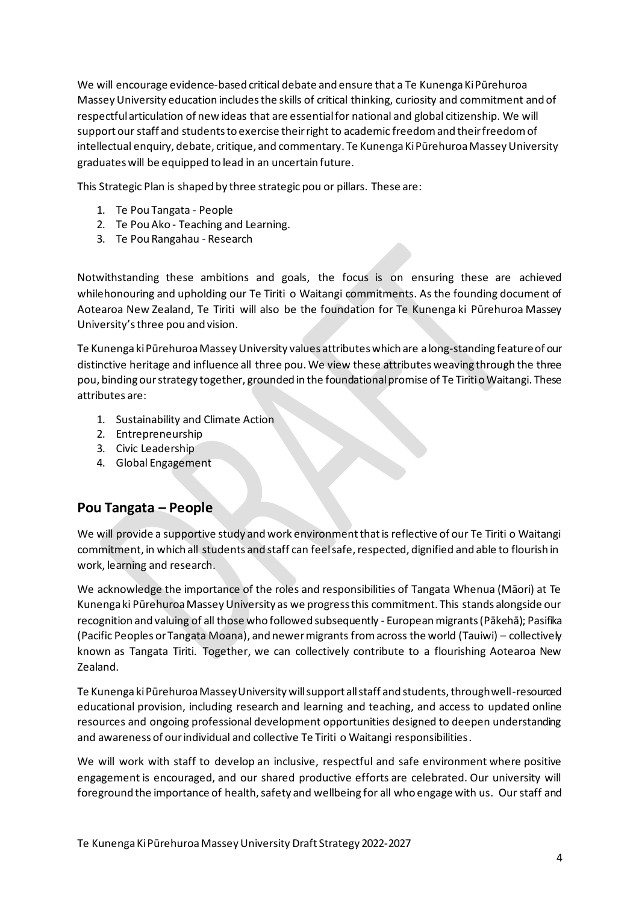We will encourage evidence-based critical debate and ensure that a Te Kunenga Ki Pūrehuroa Massey University education includes the skills of critical thinking, curiosity and commitment and of respectful articulation of new ideas that are essential for national and global citizenship. We will support our staff and students to exercise their right to academic freedom and their freedom of intellectual enquiry, debate, critique, and commentary. Te Kunenga Ki Pūrehuroa Massey University graduates will be equipped to lead in an uncertain future.

This Strategic Plan is shaped by three strategic pou or pillars. These are:

- 1. Te Pou Tangata People
- 2. Te Pou Ako Teaching and Learning.
- 3. Te Pou Rangahau Research

Notwithstanding these ambitions and goals, the focus is on ensuring these are achieved whilehonouring and upholding our Te Tiriti o Waitangi commitments. As the founding document of Aotearoa New Zealand, Te Tiriti will also be the foundation for Te Kunenga ki Pūrehuroa Massey University's three pou and vision.

Te Kunenga ki Pūrehuroa Massey University values attributes which are a long-standing feature of our distinctive heritage and influence all three pou. We view these attributes weaving through the three pou, binding our strategy together, grounded in the foundational promise of Te Tiriti o Waitangi. These attributes are:

- 1. Sustainability and Climate Action
- 2. Entrepreneurship
- 3. Civic Leadership
- 4. Global Engagement

## **Pou Tangata – People**

We will provide a supportive study and work environment that is reflective of our Te Tiriti o Waitangi commitment, in which all students and staff can feel safe, respected, dignified and able to flourish in work, learning and research.

We acknowledge the importance of the roles and responsibilities of Tangata Whenua (Māori) at Te Kunenga ki Pūrehuroa Massey University as we progress this commitment. This stands alongside our recognition and valuing of all those who followed subsequently - European migrants (Pākehā); Pasifika (Pacific Peoples or Tangata Moana), and newer migrants from across the world (Tauiwi) – collectively known as Tangata Tiriti. Together, we can collectively contribute to a flourishing Aotearoa New Zealand.

Te Kunenga ki Pūrehuroa Massey University will support all staff and students, through well-resourced educational provision, including research and learning and teaching, and access to updated online resources and ongoing professional development opportunities designed to deepen understanding and awareness of our individual and collective Te Tiriti o Waitangi responsibilities.

We will work with staff to develop an inclusive, respectful and safe environment where positive engagement is encouraged, and our shared productive efforts are celebrated. Our university will foreground the importance of health, safety and wellbeing for all who engage with us. Ourstaff and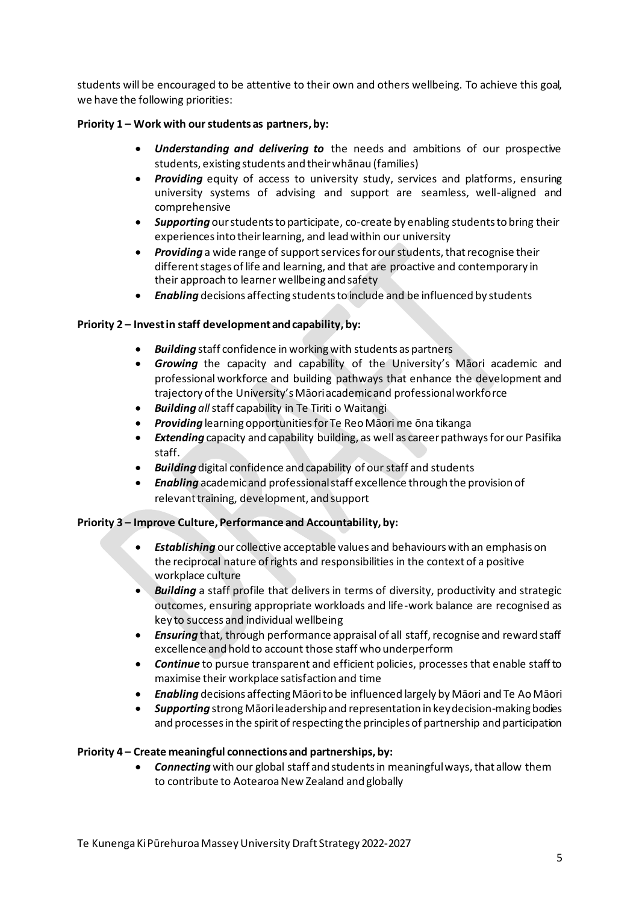students will be encouraged to be attentive to their own and others wellbeing. To achieve this goal, we have the following priorities:

### **Priority 1 – Work with our students as partners, by:**

- *Understanding and delivering to* the needs and ambitions of our prospective students, existing students and their whānau (families)
- *Providing* equity of access to university study, services and platforms, ensuring university systems of advising and support are seamless, well-aligned and comprehensive
- *Supporting* our students to participate, co-create by enabling students to bring their experiences into their learning, and lead within our university
- *Providing* a wide range of support services for our students, that recognise their different stages of life and learning, and that are proactive and contemporary in their approach to learner wellbeing and safety
- *Enabling* decisions affecting students to include and be influenced by students

### **Priority 2 – Invest in staff development and capability, by:**

- *Building* staff confidence in working with students as partners
- *Growing* the capacity and capability of the University's Māori academic and professional workforce and building pathways that enhance the development and trajectory of the University's Māori academic and professional workforce
- *Building all*staff capability in Te Tiriti o Waitangi
- *Providing* learning opportunities for Te Reo Māori me ōna tikanga
- *Extending* capacity and capability building, as well as career pathways for our Pasifika staff.
- *Building* digital confidence and capability of our staff and students
- *Enabling* academic and professional staff excellence through the provision of relevant training, development, and support

### **Priority 3 – Improve Culture, Performance and Accountability, by:**

- *Establishing* our collective acceptable values and behaviours with an emphasis on the reciprocal nature of rights and responsibilities in the context of a positive workplace culture
- *Building* a staff profile that delivers in terms of diversity, productivity and strategic outcomes, ensuring appropriate workloads and life-work balance are recognised as key to success and individual wellbeing
- *Ensuring* that, through performance appraisal of all staff, recognise and reward staff excellence and hold to account those staff who underperform
- *Continue* to pursue transparent and efficient policies, processes that enable staff to maximise their workplace satisfaction and time
- *Enabling* decisions affecting Māori to be influenced largely by Māori and Te Ao Māori
- *Supporting* strong Māori leadership and representation in key decision-making bodies and processes in the spirit of respecting the principles of partnership and participation

### **Priority 4 – Create meaningful connections and partnerships, by:**

• *Connecting* with our global staff and students in meaningful ways, that allow them to contribute to Aotearoa New Zealand and globally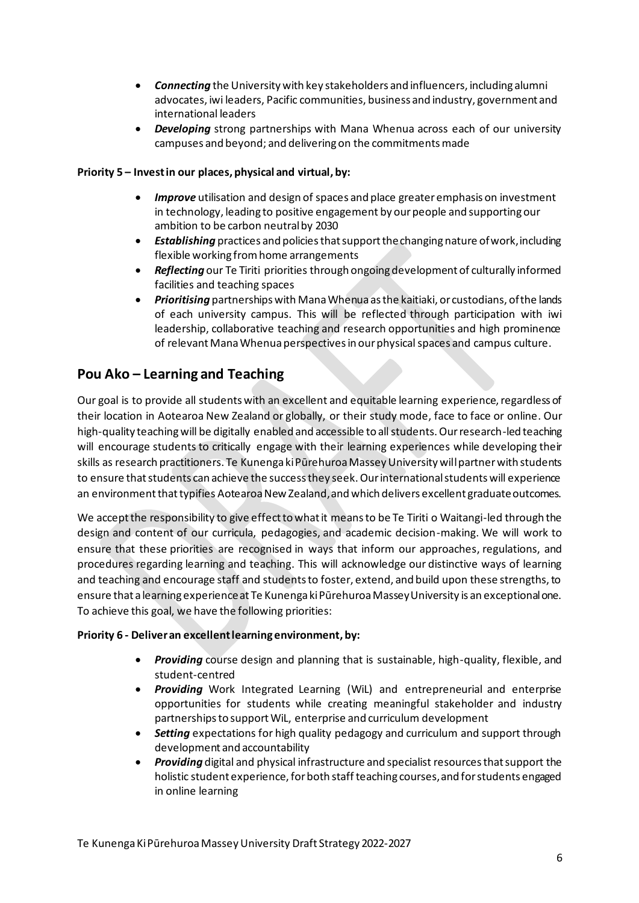- *Connecting* the University with key stakeholders and influencers, including alumni advocates, iwi leaders, Pacific communities, business and industry, government and international leaders
- *Developing* strong partnerships with Mana Whenua across each of our university campuses and beyond; and delivering on the commitments made

### **Priority 5 – Invest in our places, physical and virtual, by:**

- *Improve* utilisation and design of spaces and place greater emphasis on investment in technology, leading to positive engagement by our people and supporting our ambition to be carbon neutral by 2030
- *Establishing* practices and policies that support the changing nature of work, including flexible working from home arrangements
- *Reflecting* our Te Tiriti priorities through ongoing development of culturally informed facilities and teaching spaces
- *Prioritising* partnerships with Mana Whenua as the kaitiaki, or custodians, of the lands of each university campus. This will be reflected through participation with iwi leadership, collaborative teaching and research opportunities and high prominence of relevant Mana Whenua perspectives in our physical spaces and campus culture.

## **Pou Ako – Learning and Teaching**

Our goal is to provide all students with an excellent and equitable learning experience, regardless of their location in Aotearoa New Zealand or globally, or their study mode, face to face or online. Our high-quality teaching will be digitally enabled and accessible to all students. Our research-led teaching will encourage students to critically engage with their learning experiences while developing their skills as research practitioners. Te Kunenga ki Pūrehuroa Massey University will partner with students to ensure that students can achieve the success they seek. Our international students will experience an environment that typifies Aotearoa New Zealand, and which delivers excellent graduate outcomes.

We accept the responsibility to give effect to what it means to be Te Tiriti o Waitangi-led through the design and content of our curricula, pedagogies, and academic decision-making. We will work to ensure that these priorities are recognised in ways that inform our approaches, regulations, and procedures regarding learning and teaching. This will acknowledge our distinctive ways of learning and teaching and encourage staff and students to foster, extend, and build upon these strengths, to ensure that a learning experience at Te Kunenga ki Pūrehuroa Massey University is an exceptional one. To achieve this goal, we have the following priorities:

#### **Priority 6 - Deliver an excellent learning environment, by:**

- *Providing* course design and planning that is sustainable, high-quality, flexible, and student-centred
- *Providing* Work Integrated Learning (WiL) and entrepreneurial and enterprise opportunities for students while creating meaningful stakeholder and industry partnerships to support WiL, enterprise and curriculum development
- *Setting* expectations for high quality pedagogy and curriculum and support through development and accountability
- *Providing* digital and physical infrastructure and specialist resources that support the holistic student experience, for both staff teaching courses, and for students engaged in online learning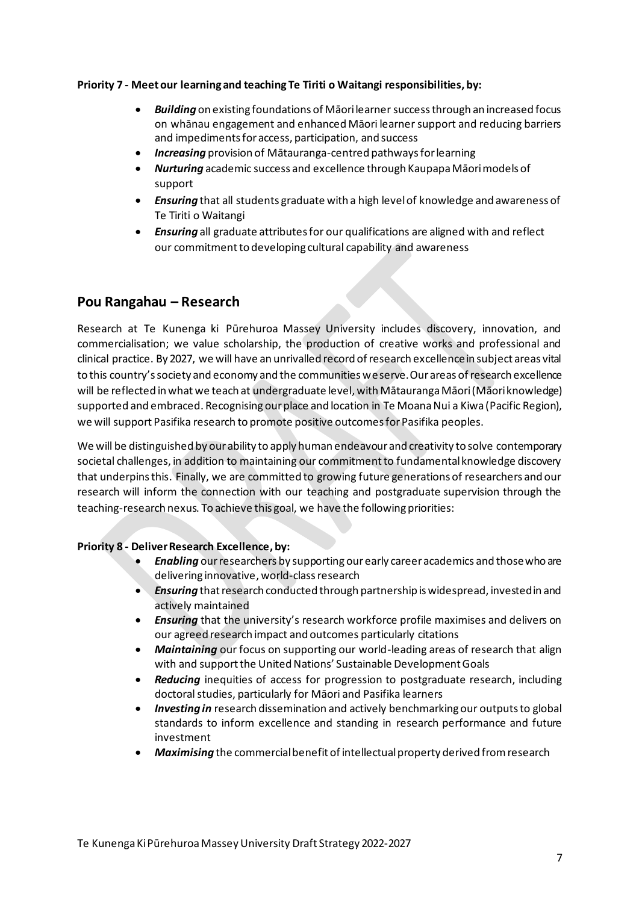#### **Priority 7 - Meetour learning and teaching Te Tiriti o Waitangi responsibilities, by:**

- *Building* on existing foundations of Māori learner success through an increased focus on whānau engagement and enhanced Māori learner support and reducing barriers and impediments for access, participation, and success
- *Increasing* provision of Mātauranga-centred pathways for learning
- *Nurturing* academic success and excellence through Kaupapa Māori models of support
- *Ensuring* that all students graduate with a high level of knowledge and awareness of Te Tiriti o Waitangi
- *Ensuring* all graduate attributes for our qualifications are aligned with and reflect our commitmentto developing cultural capability and awareness

## **Pou Rangahau – Research**

Research at Te Kunenga ki Pūrehuroa Massey University includes discovery, innovation, and commercialisation; we value scholarship, the production of creative works and professional and clinical practice. By 2027, we will have an unrivalled record of research excellence in subject areas vital to this country's society and economy and the communities we serve. Our areas of research excellence will be reflected in what we teach at undergraduate level, with Mātauranga Māori (Māori knowledge) supported and embraced. Recognising our place and location in Te Moana Nui a Kiwa (Pacific Region), we will support Pasifika research to promote positive outcomes for Pasifika peoples.

We will be distinguished by our ability to apply human endeavour and creativity to solve contemporary societal challenges, in addition to maintaining our commitment to fundamental knowledge discovery that underpins this. Finally, we are committed to growing future generations of researchers and our research will inform the connection with our teaching and postgraduate supervision through the teaching-research nexus. To achieve this goal, we have the following priorities:

### **Priority 8 - Deliver Research Excellence, by:**

- *Enabling* our researchers by supporting ourearly career academics and those who are delivering innovative, world-class research
- **Ensuring** that research conducted through partnership is widespread, invested in and actively maintained
- *Ensuring* that the university's research workforce profile maximises and delivers on our agreed research impact and outcomes particularly citations
- *Maintaining* our focus on supporting our world-leading areas of research that align with and support the United Nations' Sustainable Development Goals
- *Reducing* inequities of access for progression to postgraduate research, including doctoral studies, particularly for Māori and Pasifika learners
- *Investing in* research dissemination and actively benchmarking our outputs to global standards to inform excellence and standing in research performance and future investment
- *Maximising* the commercial benefit of intellectual property derived from research